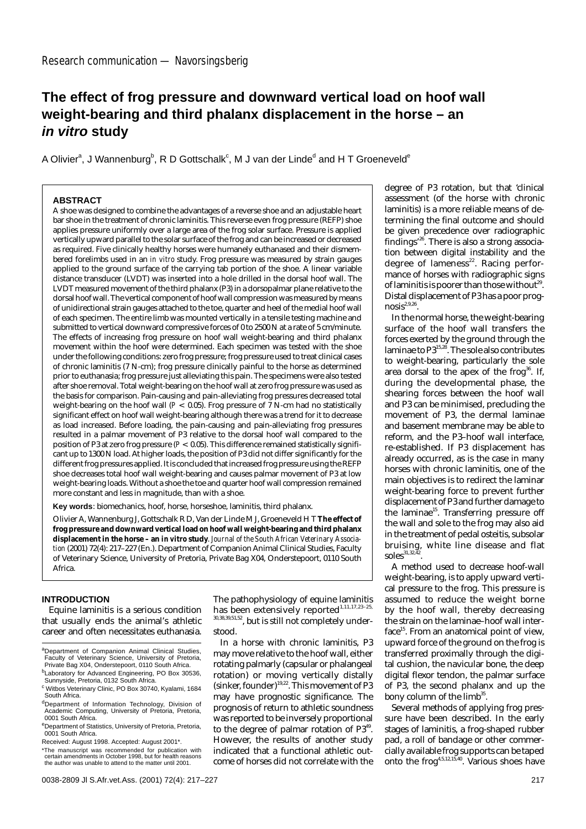# **The effect of frog pressure and downward vertical load on hoof wall weight-bearing and third phalanx displacement in the horse – an in vitro study**

A Olivier $^{\circ}$ , J Wannenburg $^{\circ}$ , R D Gottschalk $^{\circ}$ , M J van der Linde $^{\circ}$  and H T Groeneveld $^{\circ}$ 

# **ABSTRACT**

A shoe was designed to combine the advantages of a reverse shoe and an adjustable heart bar shoe in the treatment of chronic laminitis. This reverse even frog pressure (REFP) shoe applies pressure uniformly over a large area of the frog solar surface. Pressure is applied vertically upward parallel to the solar surface of the frog and can be increased or decreased as required. Five clinically healthy horses were humanely euthanased and their dismembered forelimbs used in an *in vitro* study. Frog pressure was measured by strain gauges applied to the ground surface of the carrying tab portion of the shoe. A linear variable distance transducer (LVDT) was inserted into a hole drilled in the dorsal hoof wall. The LVDT measured movement of the third phalanx (P3) in a dorsopalmar plane relative to the dorsal hoof wall. The vertical component of hoof wall compression was measured by means of unidirectional strain gauges attached to the toe, quarter and heel of the medial hoof wall of each specimen. The entire limb was mounted vertically in a tensile testing machine and submitted to vertical downward compressive forces of 0 to 2500 N at a rate of 5 cm/minute. The effects of increasing frog pressure on hoof wall weight-bearing and third phalanx movement within the hoof were determined. Each specimen was tested with the shoe under the following conditions: zero frog pressure; frog pressure used to treat clinical cases of chronic laminitis (7 N-cm); frog pressure clinically painful to the horse as determined prior to euthanasia; frog pressure just alleviating this pain. The specimens were also tested after shoe removal. Total weight-bearing on the hoof wall at zero frog pressure was used as the basis for comparison. Pain-causing and pain-alleviating frog pressures decreased total weight-bearing on the hoof wall (*P* < 0.05). Frog pressure of 7 N-cm had no statistically significant effect on hoof wall weight-bearing although there was a trend for it to decrease as load increased. Before loading, the pain-causing and pain-alleviating frog pressures resulted in a palmar movement of P3 relative to the dorsal hoof wall compared to the position of P3 at zero frog pressure (*P* < 0.05). This difference remained statistically significant up to 1300 N load. At higher loads, the position of P3 did not differ significantly for the different frog pressures applied. It is concluded that increased frog pressure using the REFP shoe decreases total hoof wall weight-bearing and causes palmar movement of P3 at low weight-bearing loads. Without a shoe the toe and quarter hoof wall compression remained more constant and less in magnitude, than with a shoe.

**Key words**: biomechanics, hoof, horse, horseshoe, laminitis, third phalanx.

Olivier A, Wannenburg J, Gottschalk R D, Van der Linde M J, Groeneveld H T **The effect of frog pressure and downward vertical load on hoof wall weight-bearing and third phalanx displacement in the horse – an** *in vitro* **study**. *Journal of the South African Veterinary Association* (2001) 72(4): 217–227 (En.). Department of Companion Animal Clinical Studies, Faculty of Veterinary Science, University of Pretoria, Private Bag X04, Onderstepoort, 0110 South Africa.

## **INTRODUCTION**

Equine laminitis is a serious condition that usually ends the animal's athletic career and often necessitates euthanasia. The pathophysiology of equine laminitis has been extensively reported<sup>1,11,17,23-25</sup> 30,38,39,51,52, but is still not completely understood.

In a horse with chronic laminitis, P3 may move relative to the hoof wall, either rotating palmarly (capsular or phalangeal rotation) or moving vertically distally (sinker, founder)<sup>19,22</sup>. This movement of P3 may have prognostic significance. The prognosis of return to athletic soundness was reported to be inversely proportional to the degree of palmar rotation of P3<sup>49</sup>. However, the results of another study indicated that a functional athletic outcome of horses did not correlate with the degree of P3 rotation, but that 'clinical assessment (of the horse with chronic laminitis) is a more reliable means of determining the final outcome and should be given precedence over radiographic findings'26. There is also a strong association between digital instability and the degree of lameness<sup>22</sup>. Racing performance of horses with radiographic signs of laminitis is poorer than those without<sup>29</sup>. Distal displacement of P3 has a poor prog $nosis^{2,9,26}$ 

In the normal horse, the weight-bearing surface of the hoof wall transfers the forces exerted by the ground through the laminae to P3<sup>15,28</sup>. The sole also contributes to weight-bearing, particularly the sole area dorsal to the apex of the frog<sup>36</sup>. If, during the developmental phase, the shearing forces between the hoof wall and P3 can be minimised, precluding the movement of P3, the dermal laminae and basement membrane may be able to reform, and the P3–hoof wall interface, re-established. If P3 displacement has already occurred, as is the case in many horses with chronic laminitis, one of the main objectives is to redirect the laminar weight-bearing force to prevent further displacement of P3 and further damage to the laminae<sup>15</sup>. Transferring pressure off the wall and sole to the frog may also aid in the treatment of pedal osteitis, subsolar bruising, white line disease and flat soles $31,32,42$ 

A method used to decrease hoof-wall weight-bearing, is to apply upward vertical pressure to the frog. This pressure is assumed to reduce the weight borne by the hoof wall, thereby decreasing the strain on the laminae–hoof wall inter $face<sup>15</sup>$ . From an anatomical point of view, upward force of the ground on the frog is transferred proximally through the digital cushion, the navicular bone, the deep digital flexor tendon, the palmar surface of P3, the second phalanx and up the bony column of the  $limb^{35}$ .

Several methods of applying frog pressure have been described. In the early stages of laminitis, a frog-shaped rubber pad, a roll of bandage or other commercially available frog supports can be taped onto the frog4,5,12,15,40. Various shoes have

aDepartment of Companion Animal Clinical Studies Faculty of Veterinary Science, University of Pretoria, Private Bag X04, Onderstepoort, 0110 South Africa.

bLaboratory for Advanced Engineering, PO Box 30536,<br>Sunnyside, Pretoria, 0132 South Africa. <sup>c</sup> Witbos Veterinary Clinic, PO Box 30740, Kyalami, 1684

South Africa.

<sup>&</sup>lt;sup>d</sup>Department of Information Technology, Division of<br>Academic Computing, University of Pretoria, Pretoria, 0001 South Africa.

eDepartment of Statistics, University of Pretoria, Pretoria,<br>0001 South Africa.

Received: August 1998. Accepted: August 2001\*.

<sup>\*</sup>The manuscript was recommended for publication with certain amendments in October 1998, but for health reasons the author was unable to attend to the matter until 2001.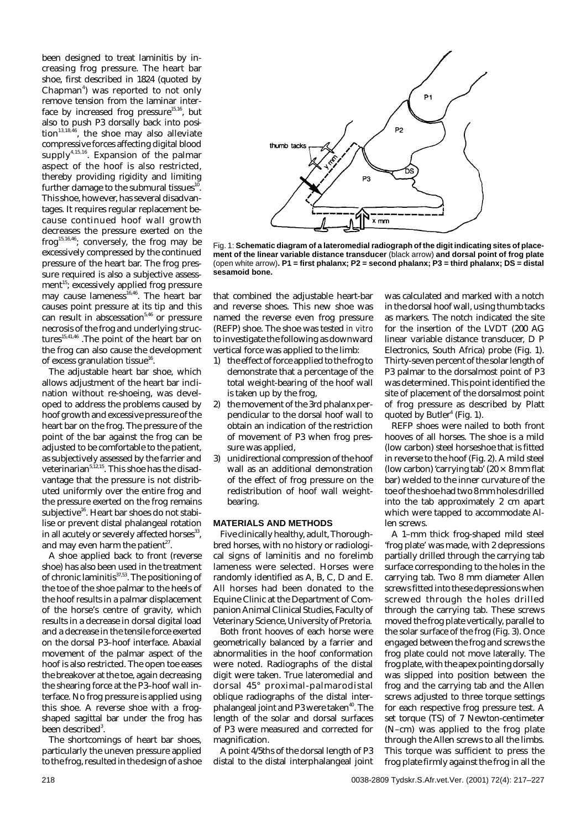been designed to treat laminitis by increasing frog pressure. The heart bar shoe, first described in 1824 (quoted by Chapman<sup>4</sup>) was reported to not only remove tension from the laminar interface by increased frog pressure<sup>15,16</sup>, but also to push P3 dorsally back into position $13,18,46$ , the shoe may also alleviate compressive forces affecting digital blood supply<sup>4,15,16</sup>. Expansion of the palmar aspect of the hoof is also restricted, thereby providing rigidity and limiting further damage to the submural tissues<sup>10</sup>. This shoe, however, has several disadvantages. It requires regular replacement because continued hoof wall growth decreases the pressure exerted on the frog<sup>15,16,46</sup>; conversely, the frog may be excessively compressed by the continued pressure of the heart bar. The frog pressure required is also a subjective assessment<sup>15</sup>; excessively applied frog pressure may cause lameness $^{16,46}$ . The heart bar causes point pressure at its tip and this can result in abscessation<sup>5,46</sup> or pressure necrosis of the frog and underlying structures<sup>15,41,46</sup> .The point of the heart bar on the frog can also cause the development of excess granulation tissue<sup>16</sup>.

The adjustable heart bar shoe, which allows adjustment of the heart bar inclination without re-shoeing, was developed to address the problems caused by hoof growth and excessive pressure of the heart bar on the frog. The pressure of the point of the bar against the frog can be adjusted to be comfortable to the patient, as subjectively assessed by the farrier and veterinarian5,12,15. This shoe has the disadvantage that the pressure is not distributed uniformly over the entire frog and the pressure exerted on the frog remains subjective<sup>16</sup>. Heart bar shoes do not stabilise or prevent distal phalangeal rotation in all acutely or severely affected horses $^{33}$ , and may even harm the patient<sup>27</sup>.

A shoe applied back to front (reverse shoe) has also been used in the treatment of chronic laminitis $37,53$ . The positioning of the toe of the shoe palmar to the heels of the hoof results in a palmar displacement of the horse's centre of gravity, which results in a decrease in dorsal digital load and a decrease in the tensile force exerted on the dorsal P3–hoof interface. Abaxial movement of the palmar aspect of the hoof is also restricted. The open toe eases the breakover at the toe, again decreasing the shearing force at the P3–hoof wall interface. No frog pressure is applied using this shoe. A reverse shoe with a frogshaped sagittal bar under the frog has been described $3$ .

The shortcomings of heart bar shoes, particularly the uneven pressure applied to the frog, resulted in the design of a shoe



Fig. 1: **Schematic diagram of a lateromedial radiograph of the digit indicating sites of placement of the linear variable distance transducer** (black arrow) **and dorsal point of frog plate** (open white arrow)**. P1 = first phalanx; P2 = second phalanx; P3 = third phalanx; DS = distal sesamoid bone.**

that combined the adjustable heart-bar and reverse shoes. This new shoe was named the reverse even frog pressure (REFP) shoe. The shoe was tested *in vitro* to investigate the following as downward vertical force was applied to the limb:

- 1) the effect of force applied to the frog to demonstrate that a percentage of the total weight-bearing of the hoof wall is taken up by the frog,
- 2) the movement of the 3rd phalanx perpendicular to the dorsal hoof wall to obtain an indication of the restriction of movement of P3 when frog pressure was applied,
- 3) unidirectional compression of the hoof wall as an additional demonstration of the effect of frog pressure on the redistribution of hoof wall weightbearing.

### **MATERIALS AND METHODS**

Five clinically healthy, adult, Thoroughbred horses, with no history or radiological signs of laminitis and no forelimb lameness were selected. Horses were randomly identified as A, B, C, D and E. All horses had been donated to the Equine Clinic at the Department of Companion Animal Clinical Studies, Faculty of Veterinary Science, University of Pretoria.

Both front hooves of each horse were geometrically balanced by a farrier and abnormalities in the hoof conformation were noted. Radiographs of the distal digit were taken. True lateromedial and dorsal 45° proximal-palmarodistal oblique radiographs of the distal interphalangeal joint and P3 were taken<sup>40</sup>. The length of the solar and dorsal surfaces of P3 were measured and corrected for magnification.

A point 4/5ths of the dorsal length of P3 distal to the distal interphalangeal joint was calculated and marked with a notch in the dorsal hoof wall, using thumb tacks as markers. The notch indicated the site for the insertion of the LVDT (200 AG linear variable distance transducer, D P Electronics, South Africa) probe (Fig. 1). Thirty-seven percent of the solar length of P3 palmar to the dorsalmost point of P3 was determined. This point identified the site of placement of the dorsalmost point of frog pressure as described by Platt quoted by Butler<sup>4</sup> (Fig. 1).

REFP shoes were nailed to both front hooves of all horses. The shoe is a mild (low carbon) steel horseshoe that is fitted in reverse to the hoof (Fig. 2). A mild steel (low carbon) 'carrying tab' (20  $\times$  8 mm flat bar) welded to the inner curvature of the toe of the shoe had two 8 mm holes drilled into the tab approximately 2 cm apart which were tapped to accommodate Allen screws.

A 1–mm thick frog-shaped mild steel 'frog plate' was made, with 2 depressions partially drilled through the carrying tab surface corresponding to the holes in the carrying tab. Two 8 mm diameter Allen screws fitted into these depressions when screwed through the holes drilled through the carrying tab. These screws moved the frog plate vertically, parallel to the solar surface of the frog (Fig. 3). Once engaged between the frog and screws the frog plate could not move laterally. The frog plate, with the apex pointing dorsally was slipped into position between the frog and the carrying tab and the Allen screws adjusted to three torque settings for each respective frog pressure test. A set torque (TS) of 7 Newton-centimeter (N–cm) was applied to the frog plate through the Allen screws to all the limbs. This torque was sufficient to press the frog plate firmly against the frog in all the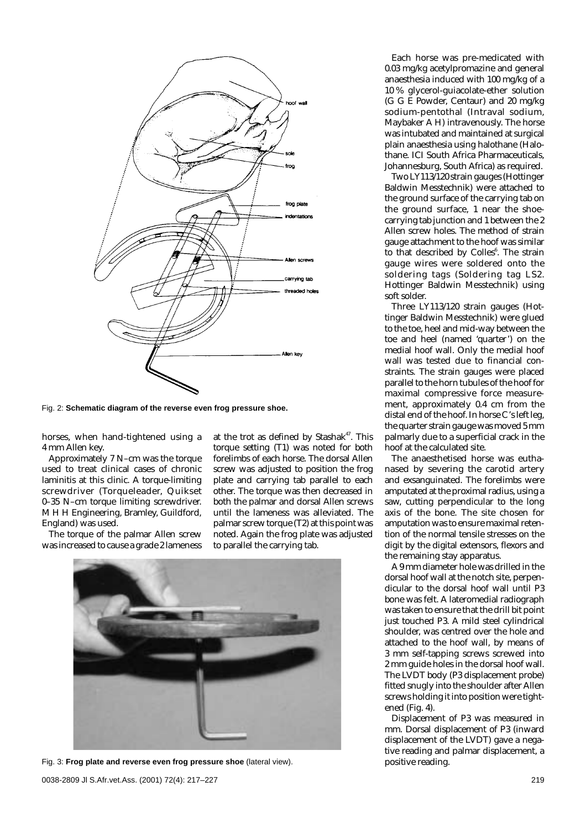

Fig. 2: **Schematic diagram of the reverse even frog pressure shoe.**

horses, when hand-tightened using a 4 mm Allen key.

Approximately 7 N–cm was the torque used to treat clinical cases of chronic laminitis at this clinic. A torque-limiting screwdriver (Torqueleader, Quikset 0–35 N–cm torque limiting screwdriver. M H H Engineering, Bramley, Guildford, England) was used.

The torque of the palmar Allen screw was increased to cause a grade 2 lameness at the trot as defined by Stashak<sup>47</sup>. This torque setting (T1) was noted for both forelimbs of each horse. The dorsal Allen screw was adjusted to position the frog plate and carrying tab parallel to each other. The torque was then decreased in both the palmar and dorsal Allen screws until the lameness was alleviated. The palmar screw torque (T2) at this point was noted. Again the frog plate was adjusted to parallel the carrying tab.



Fig. 3: **Frog plate and reverse even frog pressure shoe** (lateral view).

Each horse was pre-medicated with 0.03 mg/kg acetylpromazine and general anaesthesia induced with 100 mg/kg of a 10 % glycerol-guiacolate-ether solution (G G E Powder, Centaur) and 20 mg/kg sodium-pentothal (Intraval sodium, Maybaker A H) intravenously. The horse was intubated and maintained at surgical plain anaesthesia using halothane (Halothane. ICI South Africa Pharmaceuticals, Johannesburg, South Africa) as required.

Two LY113/120 strain gauges (Hottinger Baldwin Messtechnik) were attached to the ground surface of the carrying tab on the ground surface, 1 near the shoecarrying tab junction and 1 between the 2 Allen screw holes. The method of strain gauge attachment to the hoof was similar to that described by Colles<sup>6</sup>. The strain gauge wires were soldered onto the soldering tags (Soldering tag LS2. Hottinger Baldwin Messtechnik) using soft solder.

Three LY113/120 strain gauges (Hottinger Baldwin Messtechnik) were glued to the toe, heel and mid-way between the toe and heel (named 'quarter') on the medial hoof wall. Only the medial hoof wall was tested due to financial constraints. The strain gauges were placed parallel to the horn tubules of the hoof for maximal compressive force measurement, approximately 0.4 cm from the distal end of the hoof. In horse C's left leg, the quarter strain gauge was moved 5 mm palmarly due to a superficial crack in the hoof at the calculated site.

The anaesthetised horse was euthanased by severing the carotid artery and exsanguinated. The forelimbs were amputated at the proximal radius, using a saw, cutting perpendicular to the long axis of the bone. The site chosen for amputation was to ensure maximal retention of the normal tensile stresses on the digit by the digital extensors, flexors and the remaining stay apparatus.

A 9 mm diameter hole was drilled in the dorsal hoof wall at the notch site, perpendicular to the dorsal hoof wall until P3 bone was felt. A lateromedial radiograph was taken to ensure that the drill bit point just touched P3. A mild steel cylindrical shoulder, was centred over the hole and attached to the hoof wall, by means of 3 mm self-tapping screws screwed into 2 mm guide holes in the dorsal hoof wall. The LVDT body (P3 displacement probe) fitted snugly into the shoulder after Allen screws holding it into position were tightened (Fig. 4).

Displacement of P3 was measured in mm. Dorsal displacement of P3 (inward displacement of the LVDT) gave a negative reading and palmar displacement, a positive reading.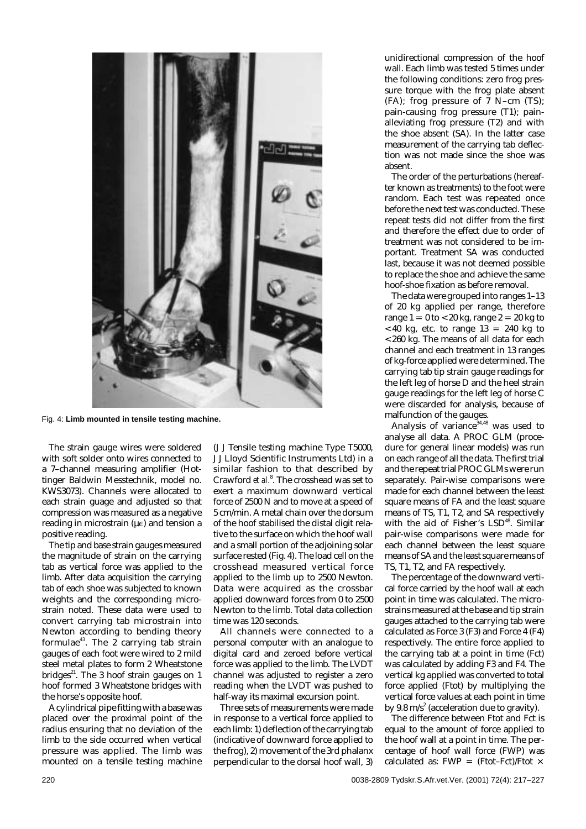

Fig. 4: **Limb mounted in tensile testing machine.**

The strain gauge wires were soldered with soft solder onto wires connected to a 7–channel measuring amplifier (Hottinger Baldwin Messtechnik, model no. KWS3073). Channels were allocated to each strain guage and adjusted so that compression was measured as a negative reading in microstrain ( $\mu$ ) and tension a positive reading.

The tip and base strain gauges measured the magnitude of strain on the carrying tab as vertical force was applied to the limb. After data acquisition the carrying tab of each shoe was subjected to known weights and the corresponding microstrain noted. These data were used to convert carrying tab microstrain into Newton according to bending theory formulae $43$ . The 2 carrying tab strain gauges of each foot were wired to 2 mild steel metal plates to form 2 Wheatstone bridges $^{21}$ . The 3 hoof strain gauges on 1 hoof formed 3 Wheatstone bridges with the horse's opposite hoof.

A cylindrical pipe fitting with a base was placed over the proximal point of the radius ensuring that no deviation of the limb to the side occurred when vertical pressure was applied. The limb was mounted on a tensile testing machine (J J Tensile testing machine Type T5000, J J Lloyd Scientific Instruments Ltd) in a similar fashion to that described by Crawford *et al.*<sup>8</sup> . The crosshead was set to exert a maximum downward vertical force of 2500 N and to move at a speed of 5 cm/min. A metal chain over the dorsum of the hoof stabilised the distal digit relative to the surface on which the hoof wall and a small portion of the adjoining solar surface rested (Fig. 4). The load cell on the crosshead measured vertical force applied to the limb up to 2500 Newton. Data were acquired as the crossbar applied downward forces from 0 to 2500 Newton to the limb. Total data collection time was 120 seconds.

All channels were connected to a personal computer with an analogue to digital card and zeroed before vertical force was applied to the limb. The LVDT channel was adjusted to register a zero reading when the LVDT was pushed to half-way its maximal excursion point.

Three sets of measurements were made in response to a vertical force applied to each limb: 1) deflection of the carrying tab (indicative of downward force applied to the frog), 2) movement of the 3rd phalanx perpendicular to the dorsal hoof wall, 3) unidirectional compression of the hoof wall. Each limb was tested 5 times under the following conditions: zero frog pressure torque with the frog plate absent (FA); frog pressure of 7 N–cm (TS); pain-causing frog pressure (T1); painalleviating frog pressure (T2) and with the shoe absent (SA). In the latter case measurement of the carrying tab deflection was not made since the shoe was absent.

The order of the perturbations (hereafter known as treatments) to the foot were random. Each test was repeated once before the next test was conducted. These repeat tests did not differ from the first and therefore the effect due to order of treatment was not considered to be important. Treatment SA was conducted last, because it was not deemed possible to replace the shoe and achieve the same hoof-shoe fixation as before removal.

The data were grouped into ranges 1–13 of 20 kg applied per range, therefore range  $1 = 0$  to  $<$  20 kg, range  $2 = 20$  kg to  $<$  40 kg, etc. to range 13 = 240 kg to <260 kg. The means of all data for each channel and each treatment in 13 ranges of kg-force applied were determined. The carrying tab tip strain gauge readings for the left leg of horse D and the heel strain gauge readings for the left leg of horse C were discarded for analysis, because of malfunction of the gauges.

Analysis of variance  $34,48$  was used to analyse all data. A PROC GLM (procedure for general linear models) was run on each range of all the data. The first trial and the repeat trial PROC GLMs were run separately. Pair-wise comparisons were made for each channel between the least square means of FA and the least square means of TS, T1, T2, and SA respectively with the aid of Fisher's LSD<sup>48</sup>. Similar pair-wise comparisons were made for each channel between the least square means of SA and the least square means of TS, T1, T2, and FA respectively.

The percentage of the downward vertical force carried by the hoof wall at each point in time was calculated. The microstrains measured at the base and tip strain gauges attached to the carrying tab were calculated as Force 3 (F3) and Force 4 (F4) respectively. The entire force applied to the carrying tab at a point in time (Fct) was calculated by adding F3 and F4. The vertical kg applied was converted to total force applied (Ftot) by multiplying the vertical force values at each point in time by 9.8 m/s<sup>2</sup> (acceleration due to gravity).

The difference between Ftot and Fct is equal to the amount of force applied to the hoof wall at a point in time. The percentage of hoof wall force (FWP) was calculated as: FWP = (Ftot–Fct)/Ftot  $\times$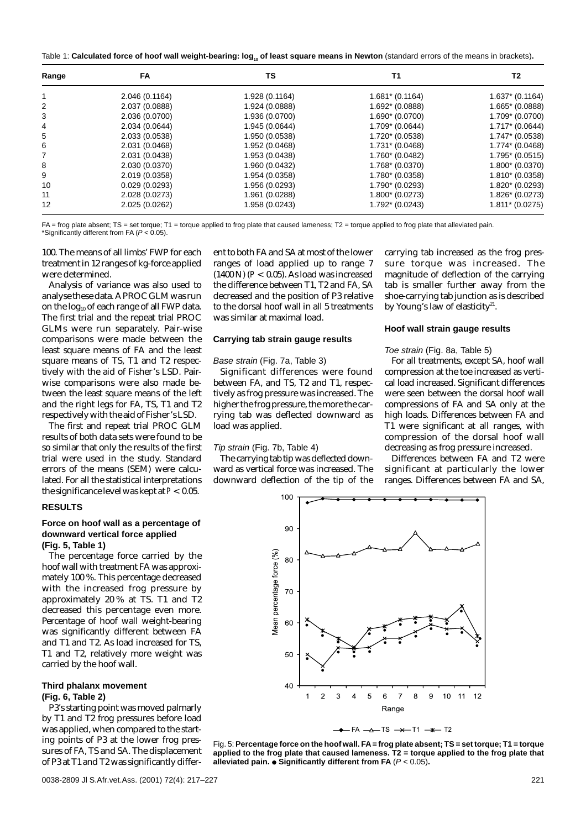| Table 1: <b>Calculated force of hoof wall weight-bearing: log<sub>10</sub> of least square means in Newton</b> (standard errors of the means in brackets) <b>.</b> |  |  |
|--------------------------------------------------------------------------------------------------------------------------------------------------------------------|--|--|
|--------------------------------------------------------------------------------------------------------------------------------------------------------------------|--|--|

| Range | FA             | ΤS             | T1                | T2                |
|-------|----------------|----------------|-------------------|-------------------|
|       | 2.046 (0.1164) | 1.928 (0.1164) | $1.681* (0.1164)$ | $1.637* (0.1164)$ |
| 2     | 2.037 (0.0888) | 1.924 (0.0888) | 1.692* (0.0888)   | $1.665* (0.0888)$ |
| 3     | 2.036 (0.0700) | 1.936 (0.0700) | $1.690*(0.0700)$  | 1.709* (0.0700)   |
| 4     | 2.034 (0.0644) | 1.945 (0.0644) | $1.709* (0.0644)$ | $1.717* (0.0644)$ |
| 5     | 2.033 (0.0538) | 1.950 (0.0538) | 1.720* (0.0538)   | $1.747* (0.0538)$ |
| 6     | 2.031 (0.0468) | 1.952 (0.0468) | 1.731* (0.0468)   | $1.774*(0.0468)$  |
| 7     | 2.031 (0.0438) | 1.953 (0.0438) | 1.760* (0.0482)   | $1.795* (0.0515)$ |
| 8     | 2.030 (0.0370) | 1.960 (0.0432) | 1.768* (0.0370)   | $1.800*(0.0370)$  |
| 9     | 2.019 (0.0358) | 1.954 (0.0358) | 1.780* (0.0358)   | $1.810*(0.0358)$  |
| 10    | 0.029(0.0293)  | 1.956 (0.0293) | 1.790* (0.0293)   | $1.820*(0.0293)$  |
| 11    | 2.028 (0.0273) | 1.961 (0.0288) | 1.800* (0.0273)   | 1.826* (0.0273)   |
| 12    | 2.025 (0.0262) | 1.958 (0.0243) | 1.792* (0.0243)   | $1.811* (0.0275)$ |

FA = frog plate absent; TS = set torque; T1 = torque applied to frog plate that caused lameness; T2 = torque applied to frog plate that alleviated pain. \*Significantly different from FA  $(P < 0.05)$ .

100. The means of all limbs' FWP for each treatment in 12 ranges of kg-force applied were determined.

Analysis of variance was also used to analyse these data. A PROC GLM was run on the  $log_{10}$  of each range of all FWP data. The first trial and the repeat trial PROC GLMs were run separately. Pair-wise comparisons were made between the least square means of FA and the least square means of TS, T1 and T2 respectively with the aid of Fisher's LSD. Pairwise comparisons were also made between the least square means of the left and the right legs for FA, TS, T1 and T2 respectively with the aid of Fisher's LSD.

The first and repeat trial PROC GLM results of both data sets were found to be so similar that only the results of the first trial were used in the study. Standard errors of the means (SEM) were calculated. For all the statistical interpretations the significance level was kept at*P* < 0.05.

# **RESULTS**

### **Force on hoof wall as a percentage of downward vertical force applied (Fig. 5, Table 1)**

The percentage force carried by the hoof wall with treatment FA was approximately 100 %. This percentage decreased with the increased frog pressure by approximately 20 % at TS. T1 and T2 decreased this percentage even more. Percentage of hoof wall weight-bearing was significantly different between FA and T1 and T2. As load increased for TS, T1 and T2, relatively more weight was carried by the hoof wall.

## **Third phalanx movement (Fig. 6, Table 2)**

P3's starting point was moved palmarly by T1 and T2 frog pressures before load was applied, when compared to the starting points of P3 at the lower frog pressures of FA, TS and SA. The displacement of P3 at T1 and T2 was significantly different to both FA and SA at most of the lower ranges of load applied up to range 7 (1400 N) (*P* < 0.05). As load was increased the difference between T1, T2 and FA, SA decreased and the position of P3 relative to the dorsal hoof wall in all 5 treatments was similar at maximal load.

#### **Carrying tab strain gauge results**

#### Base strain (Fig. 7a, Table 3)

Significant differences were found between FA, and TS, T2 and T1, respectively as frog pressure was increased. The higher the frog pressure, the more the carrying tab was deflected downward as load was applied.

# Tip strain (Fig. 7b, Table 4)

The carrying tab tip was deflected downward as vertical force was increased. The downward deflection of the tip of the

carrying tab increased as the frog pressure torque was increased. The magnitude of deflection of the carrying tab is smaller further away from the shoe-carrying tab junction as is described by Young's law of elasticity $21$ .

## **Hoof wall strain gauge results**

#### Toe strain (Fig. 8a, Table 5)

For all treatments, except SA, hoof wall compression at the toe increased as vertical load increased. Significant differences were seen between the dorsal hoof wall compressions of FA and SA only at the high loads. Differences between FA and T1 were significant at all ranges, with compression of the dorsal hoof wall decreasing as frog pressure increased.

Differences between FA and T2 were significant at particularly the lower ranges. Differences between FA and SA,



Fig. 5: **Percentage force on the hoof wall. FA= frog plate absent; TS = set torque; T1 = torque applied to the frog plate that caused lameness. T2 = torque applied to the frog plate that alleviated pain. Significantly different from FA** (P < 0.05)**.**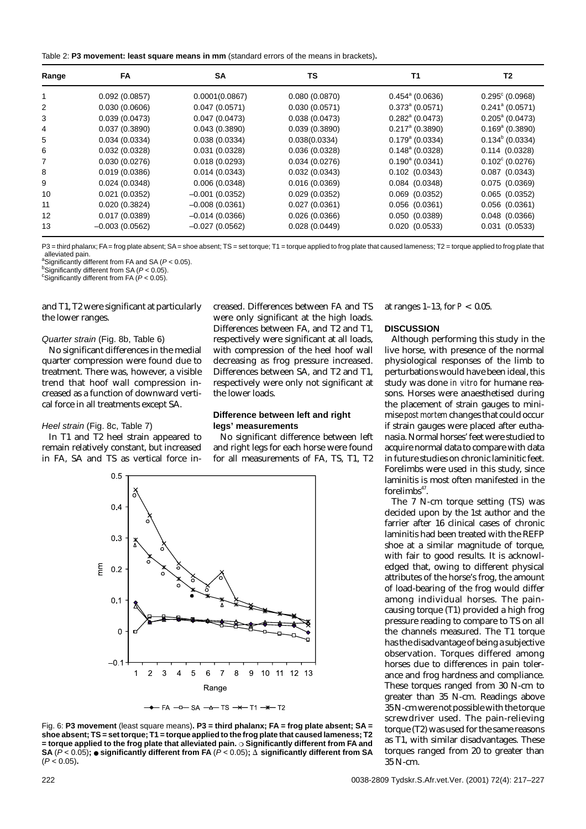| Table 2: P3 movement: least square means in mm (standard errors of the means in brackets). |  |  |  |
|--------------------------------------------------------------------------------------------|--|--|--|
|--------------------------------------------------------------------------------------------|--|--|--|

| Range | FA               | <b>SA</b>        | TS            | T1                       | T <sub>2</sub>           |
|-------|------------------|------------------|---------------|--------------------------|--------------------------|
|       | 0.092(0.0857)    | 0.0001(0.0867)   | 0.080(0.0870) | $0.454^{\circ}$ (0.0636) | $0.295^{\circ}$ (0.0968) |
| 2     | 0.030(0.0606)    | 0.047(0.0571)    | 0.030(0.0571) | $0.373^{\circ}$ (0.0571) | $0.241^{\circ}$ (0.0571) |
| 3     | 0.039(0.0473)    | 0.047(0.0473)    | 0.038(0.0473) | $0.282^{\circ}$ (0.0473) | $0.205^{\circ}$ (0.0473) |
| 4     | 0.037(0.3890)    | 0.043(0.3890)    | 0.039(0.3890) | $0.217^{\circ}$ (0.3890) | $0.169^{\circ}$ (0.3890) |
| 5     | 0.034(0.0334)    | 0.038(0.0334)    | 0.038(0.0334) | $0.179a$ (0.0334)        | $0.134^{\circ}$ (0.0334) |
| 6     | 0.032(0.0328)    | 0.031(0.0328)    | 0.036(0.0328) | $0.148^{\circ}$ (0.0328) | 0.114(0.0328)            |
| 7     | 0.030(0.0276)    | 0.018(0.0293)    | 0.034(0.0276) | $0.190^{\circ}$ (0.0341) | $0.102^{\circ}$ (0.0276) |
| 8     | 0.019(0.0386)    | 0.014(0.0343)    | 0.032(0.0343) | $0.102$ $(0.0343)$       | $0.087$ $(0.0343)$       |
| 9     | 0.024(0.0348)    | 0.006(0.0348)    | 0.016(0.0369) | $0.084$ $(0.0348)$       | 0.075(0.0369)            |
| 10    | 0.021(0.0352)    | $-0.001(0.0352)$ | 0.029(0.0352) | $0.069$ $(0.0352)$       | $0.065$ $(0.0352)$       |
| 11    | 0.020(0.3824)    | $-0.008(0.0361)$ | 0.027(0.0361) | $0.056$ $(0.0361)$       | $0.056$ $(0.0361)$       |
| 12    | 0.017(0.0389)    | $-0.014(0.0366)$ | 0.026(0.0366) | 0.050(0.0389)            | $0.048$ $(0.0366)$       |
| 13    | $-0.003(0.0562)$ | $-0.027(0.0562)$ | 0.028(0.0449) | 0.020(0.0533)            | $0.031$ $(0.0533)$       |

P3 = third phalanx; FA = frog plate absent; SA = shoe absent; TS = set torque; T1 = torque applied to frog plate that caused lameness; T2 = torque applied to frog plate that alleviated pain.

<sup>a</sup> Significantly different from FA and SA ( $P < 0.05$ ).

 $b$ Significantly different from SA ( $P < 0.05$ ) <sup>c</sup>Significantly different from FA  $(P < 0.05)$ .

and T1, T2 were significant at particularly the lower ranges.

#### Quarter strain (Fig. 8b, Table 6)

No significant differences in the medial quarter compression were found due to treatment. There was, however, a visible trend that hoof wall compression increased as a function of downward vertical force in all treatments except SA.

#### Heel strain (Fig. 8c, Table 7)

In T1 and T2 heel strain appeared to remain relatively constant, but increased in FA, SA and TS as vertical force increased. Differences between FA and TS were only significant at the high loads. Differences between FA, and T2 and T1, respectively were significant at all loads, with compression of the heel hoof wall decreasing as frog pressure increased. Differences between SA, and T2 and T1, respectively were only not significant at the lower loads.

## **Difference between left and right legs' measurements**

No significant difference between left and right legs for each horse were found for all measurements of FA, TS, T1, T2



Fig. 6: **P3 movement** (least square means)**. P3 = third phalanx; FA = frog plate absent; SA = shoe absent; TS = set torque; T1 = torque applied to the frog plate that caused lameness; T2 = torque applied to the frog plate that alleviated pain. Significantly different from FA and SA** ( $P$  < 0.05)**;**  $\bullet$  **significantly different from FA** ( $P$  < 0.05)**;**  $\overline{\Delta}$  **significantly different from SA** (P < 0.05)**.**

at ranges 1–13, for *P* < 0.05.

#### **DISCUSSION**

Although performing this study in the live horse, with presence of the normal physiological responses of the limb to perturbations would have been ideal, this study was done *in vitro* for humane reasons. Horses were anaesthetised during the placement of strain gauges to minimise *post mortem* changes that could occur if strain gauges were placed after euthanasia. Normal horses' feet were studied to acquire normal data to compare with data in future studies on chronic laminitic feet. Forelimbs were used in this study, since laminitis is most often manifested in the  $fore$ limbs $47$ .

The 7 N-cm torque setting (TS) was decided upon by the 1st author and the farrier after 16 clinical cases of chronic laminitis had been treated with the REFP shoe at a similar magnitude of torque, with fair to good results. It is acknowledged that, owing to different physical attributes of the horse's frog, the amount of load-bearing of the frog would differ among individual horses. The paincausing torque (T1) provided a high frog pressure reading to compare to TS on all the channels measured. The T1 torque has the disadvantage of being a subjective observation. Torques differed among horses due to differences in pain tolerance and frog hardness and compliance. These torques ranged from 30 N-cm to greater than 35 N-cm. Readings above 35 N-cm were not possible with the torque screwdriver used. The pain-relieving torque (T2) was used for the same reasons as T1, with similar disadvantages. These torques ranged from 20 to greater than 35 N-cm.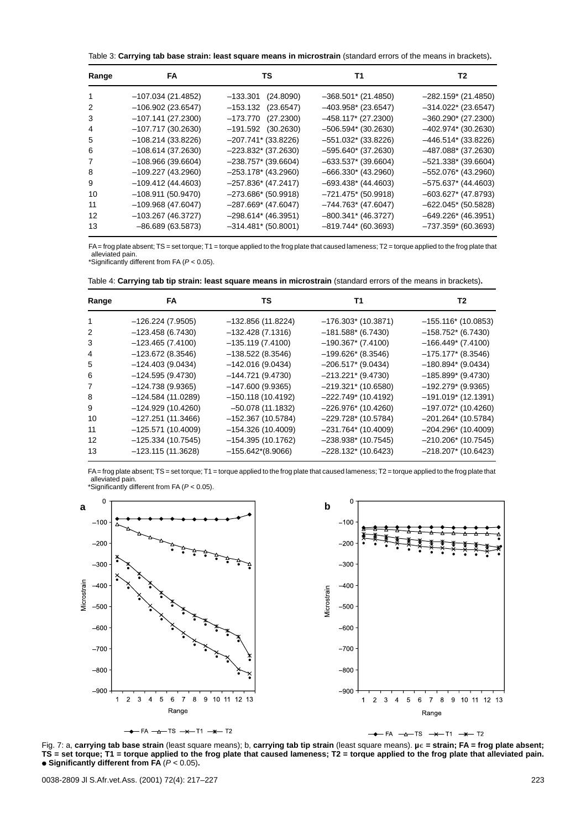Table 3: **Carrying tab base strain: least square means in microstrain** (standard errors of the means in brackets)**.**

| Range             | FA                  | TS                    | Т1                     | T2                    |
|-------------------|---------------------|-----------------------|------------------------|-----------------------|
| 1                 | $-107.034(21.4852)$ | $-133.301$ (24.8090)  | $-368.501$ * (21.4850) | $-282.159$ (21.4850)  |
| 2                 | $-106.902(23.6547)$ | $-153.132$ (23.6547)  | $-403.958$ (23.6547)   | $-314.022$ (23.6547)  |
| 3                 | $-107.141(27.2300)$ | $-173.770$ (27.2300)  | $-458.117$ (27.2300)   | $-360.290*$ (27.2300) |
| 4                 | $-107.717(30.2630)$ | $-191.592$ (30.2630)  | $-506.594*$ (30.2630)  | $-402.974*$ (30.2630) |
| 5                 | $-108.214(33.8226)$ | $-207.741$ (33.8226)  | $-551.032$ * (33.8226) | $-446.514*$ (33.8226) |
| 6                 | $-108.614(37.2630)$ | $-223.832*$ (37.2630) | $-595.640*(37.2630)$   | $-487.088*$ (37.2630) |
| 7                 | $-108.966(39.6604)$ | $-238.757*$ (39.6604) | $-633.537*$ (39.6604)  | $-521.338*$ (39.6604) |
| 8                 | $-109.227(43.2960)$ | $-253.178*(43.2960)$  | $-666.330*(43.2960)$   | $-552.076*$ (43.2960) |
| 9                 | $-109.412(44.4603)$ | $-257.836*$ (47.2417) | $-693.438*(44.4603)$   | $-575.637*$ (44.4603) |
| 10                | $-108.911(50.9470)$ | $-273.686*$ (50.9918) | $-721.475$ * (50.9918) | $-603.627$ (47.8793)  |
| 11                | $-109.968(47.6047)$ | $-287.669*$ (47.6047) | $-744.763*(47.6047)$   | $-622.045$ (50.5828)  |
| $12 \overline{ }$ | $-103.267(46.3727)$ | $-298.614*$ (46.3951) | $-800.341$ * (46.3727) | $-649.226$ (46.3951)  |
| 13                | $-86.689(63.5873)$  | $-314.481*$ (50.8001) | $-819.744*(60.3693)$   | $-737.359* (60.3693)$ |

FA = frog plate absent; TS = set torque; T1 = torque applied to the frog plate that caused lameness; T2 = torque applied to the frog plate that alleviated pain. \*Significantly different from FA (P < 0.05).

| Table 4: Carrying tab tip strain: least square means in microstrain (standard errors of the means in brackets). |  |
|-----------------------------------------------------------------------------------------------------------------|--|
|-----------------------------------------------------------------------------------------------------------------|--|

| Range | FA                  | ΤS                  | Т1                     | T2                     |
|-------|---------------------|---------------------|------------------------|------------------------|
| 1     | $-126.224(7.9505)$  | $-132.856(11.8224)$ | $-176.303*$ (10.3871)  | $-155.116*(10.0853)$   |
| 2     | $-123.458(6.7430)$  | $-132.428(7.1316)$  | $-181.588*$ (6.7430)   | $-158.752*$ (6.7430)   |
| 3     | $-123.465(7.4100)$  | $-135.119(7.4100)$  | $-190.367$ (7.4100)    | $-166.449*$ (7.4100)   |
| 4     | $-123.672(8.3546)$  | $-138.522(8.3546)$  | $-199.626*$ (8.3546)   | $-175.177*$ (8.3546)   |
| 5     | $-124.403(9.0434)$  | $-142.016(9.0434)$  | $-206.517$ * (9.0434)  | $-180.894*$ (9.0434)   |
| 6     | $-124.595(9.4730)$  | $-144.721(9.4730)$  | $-213.221$ * (9.4730)  | $-185.899*$ (9.4730)   |
| 7     | $-124.738(9.9365)$  | $-147.600(9.9365)$  | $-219.321$ * (10.6580) | $-192.279$ (9.9365)    |
| 8     | $-124.584(11.0289)$ | $-150.118(10.4192)$ | $-222.749$ (10.4192)   | $-191.019$ (12.1391)   |
| 9     | $-124.929(10.4260)$ | $-50.078(11.1832)$  | $-226.976*(10.4260)$   | $-197.072*$ (10.4260)  |
| 10    | $-127.251(11.3466)$ | $-152.367(10.5784)$ | $-229.728*(10.5784)$   | $-201.264*$ (10.5784)  |
| 11    | $-125.571(10.4009)$ | $-154.326(10.4009)$ | $-231.764*$ (10.4009)  | $-204.296*$ (10.4009)  |
| 12    | $-125.334(10.7545)$ | $-154.395(10.1762)$ | $-238.938*$ (10.7545)  | $-210.206*$ (10.7545)  |
| 13    | $-123.115(11.3628)$ | $-155.642*(8.9066)$ | $-228.132$ (10.6423)   | $-218.207$ * (10.6423) |

FA= frog plate absent; TS = set torque; T1 = torque applied to the frog plate that caused lameness; T2 = torque applied to the frog plate that alleviated pain. \*Significantly different from FA ( $P < 0.05$ ).



 $-FA - A - TS - X - T1 - K - T2$ 

 $-FA$   $- \Delta - TS$   $- \times - T1$   $- \times - T2$  $\rightarrow$ 

Fig. 7: a, **carrying tab base strain** (least square means); b, **carrying tab tip strain** (least square means). **µ- = strain; FA = frog plate absent; TS = set torque; T1 = torque applied to the frog plate that caused lameness; T2 = torque applied to the frog plate that alleviated pain. Significantly different from FA** (P < 0.05)**.**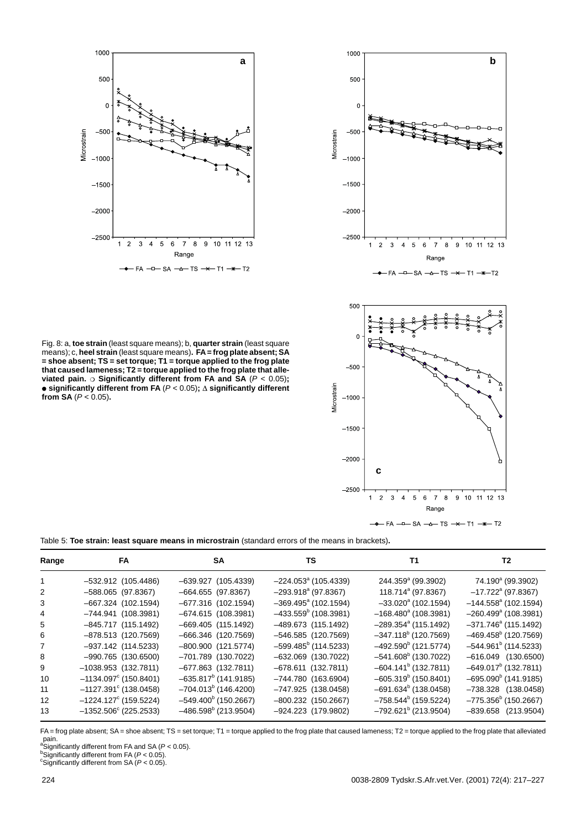



Fig. 8: a, **toe strain** (least square means); b, **quarter strain** (least square means); c, **heel strain** (least square means)**. FA= frog plate absent; SA = shoe absent; TS = set torque; T1 = torque applied to the frog plate that caused lameness; T2 = torque applied to the frog plate that alleviated pain. Significantly different from FA and SA** (P < 0.05)**; significantly different from FA** (P < 0.05)**; significantly different from SA**  $(P < 0.05)$ .



Table 5: **Toe strain: least square means in microstrain** (standard errors of the means in brackets)**.**

| Range        | FA.                            | <b>SA</b>               | TS                                 | T1                                 | T2                                 |
|--------------|--------------------------------|-------------------------|------------------------------------|------------------------------------|------------------------------------|
| $\mathbf{1}$ | $-532.912$ (105.4486)          | $-639.927$ (105.4339)   | $-224.053^{\circ}$ (105.4339)      | 244.359 <sup>ª</sup> (99.3902)     | 74.190 <sup>a</sup> (99.3902)      |
| 2            | $-588.065$ (97.8367)           | $-664.655$ (97.8367)    | $-293.918a$ (97.8367)              | 118.714 <sup>ª</sup> (97.8367)     | $-17.722$ <sup>a</sup> (97.8367)   |
| 3            | $-667.324$ (102.1594)          | $-677.316$ (102.1594)   | $-369.495$ <sup>a</sup> (102.1594) | $-33.020^{\circ}$ (102.1594)       | $-144.558^a$ (102.1594)            |
| 4            | $-744.941$ (108.3981)          | $-674.615$ (108.3981)   | $-433.559^b$ (108.3981)            | $-168.480^a$ (108.3981)            | $-260.499$ <sup>a</sup> (108.3981) |
| 5            | $-845.717$ (115.1492)          | $-669.405$ (115.1492)   | $-489.673$ (115.1492)              | $-289.354$ <sup>a</sup> (115.1492) | $-371.746^{\circ}$ (115.1492)      |
| 6            | $-878.513$ (120.7569)          | $-666.346$ (120.7569)   | $-546.585$ (120.7569)              | $-347.118^b$ (120.7569)            | $-469.458^b$ (120.7569)            |
| 7            | $-937.142$ (114.5233)          | $-800.900$ (121.5774)   | $-599.485^b$ (114.5233)            | $-492.590b$ (121.5774)             | $-544.961b$ (114.5233)             |
| 8            | $-990.765$ (130.6500)          | $-701.789$ (130.7022)   | $-632.069$ (130.7022)              | $-541.608^b$ (130.7022)            | $-616.049$ $(130.6500)$            |
| 9            | $-1038.953$ (132.7811)         | $-677.863$ (132.7811)   | $-678.611$ (132.7811)              | $-604.141b$ (132.7811)             | $-649.017^b$ (132.7811)            |
| 10           | $-1134.097^{\circ}$ (150.8401) | $-635.817^b$ (141.9185) | $-744.780(163.6904)$               | $-605.319^b$ (150.8401)            | $-695.090^{\circ}$ (141.9185)      |
| 11           | $-1127.391^{\circ}$ (138.0458) | $-704.013^b$ (146.4200) | $-747.925$ (138.0458)              | $-691.634^b$ (138.0458)            | $-738.328$ (138.0458)              |
| 12           | $-1224.127^{\circ}$ (159.5224) | $-549.400^b$ (150.2667) | $-800.232$ (150.2667)              | $-758.544^b$ (159.5224)            | $-775.356^b$ (150.2667)            |
| 13           | $-1352.506^{\circ}$ (225.2533) | $-486.598^b$ (213.9504) | $-924.223$ (179.9802)              | $-792.621b$ (213.9504)             | $-839.658$ (213.9504)              |

FA = frog plate absent; SA = shoe absent; TS = set torque; T1 = torque applied to the frog plate that caused lameness; T2 = torque applied to the frog plate that alleviated

pain.<br><sup>a</sup>Significantly different from FA (*P* < 0.05).<br><sup>b</sup>Significantly different from FA (*P* < 0.05).<br><sup>c</sup>Significantly different from SA (*P* < 0.05).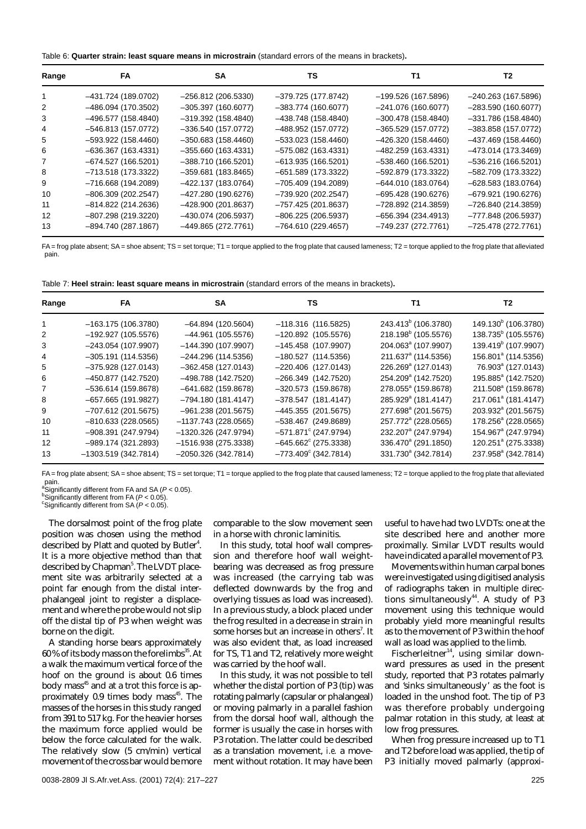| Table 6: Quarter strain: least square means in microstrain (standard errors of the means in brackets). |  |  |  |  |  |
|--------------------------------------------------------------------------------------------------------|--|--|--|--|--|
|--------------------------------------------------------------------------------------------------------|--|--|--|--|--|

| Range | FA                   | <b>SA</b>            | TS                   | Т1                   | T2                   |
|-------|----------------------|----------------------|----------------------|----------------------|----------------------|
|       | -431.724 (189.0702)  | $-256.812(206.5330)$ | $-379.725(177.8742)$ | $-199.526(167.5896)$ | $-240.263(167.5896)$ |
| 2     | $-486.094(170.3502)$ | $-305.397(160.6077)$ | $-383.774(160.6077)$ | $-241.076(160.6077)$ | $-283.590(160.6077)$ |
| 3     | $-496.577(158.4840)$ | $-319.392(158.4840)$ | $-438.748(158.4840)$ | $-300.478(158.4840)$ | $-331.786(158.4840)$ |
| 4     | $-546.813(157.0772)$ | $-336.540(157.0772)$ | $-488.952(157.0772)$ | $-365.529(157.0772)$ | $-383.858(157.0772)$ |
| 5.    | $-593.922(158.4460)$ | $-350.683(158.4460)$ | $-533.023(158.4460)$ | $-426.320(158.4460)$ | $-437.469(158.4460)$ |
| 6     | $-636.367(163.4331)$ | $-355.660(163.4331)$ | $-575.082(163.4331)$ | $-482.259(163.4331)$ | $-473.014(173.3469)$ |
| 7     | $-674.527(166.5201)$ | $-388.710(166.5201)$ | $-613.935(166.5201)$ | $-538.460(166.5201)$ | $-536.216(166.5201)$ |
| 8     | $-713.518(173.3322)$ | $-359.681(183.8465)$ | $-651.589(173.3322)$ | $-592.879(173.3322)$ | $-582.709(173.3322)$ |
| 9     | $-716.668(194.2089)$ | $-422.137(183.0764)$ | $-705.409(194.2089)$ | $-644.010(183.0764)$ | $-628.583(183.0764)$ |
| 10    | $-806.309(202.2547)$ | $-427.280(190.6276)$ | $-739.920(202.2547)$ | $-695.428(190.6276)$ | $-679.921(190.6276)$ |
| 11    | $-814.822(214.2636)$ | $-428.900(201.8637)$ | $-757.425(201.8637)$ | $-728.892(214.3859)$ | $-726.840(214.3859)$ |
| 12    | $-807.298(219.3220)$ | $-430.074(206.5937)$ | $-806.225(206.5937)$ | $-656.394(234.4913)$ | $-777.848(206.5937)$ |
| 13    | $-894.740(287.1867)$ | $-449.865(272.7761)$ | $-764.610(229.4657)$ | $-749.237(272.7761)$ | $-725.478(272.7761)$ |

FA = frog plate absent; SA = shoe absent; TS = set torque; T1 = torque applied to the frog plate that caused lameness; T2 = torque applied to the frog plate that alleviated pain.

| Table 7: Heel strain: least square means in microstrain (standard errors of the means in brackets). |  |  |  |
|-----------------------------------------------------------------------------------------------------|--|--|--|
|-----------------------------------------------------------------------------------------------------|--|--|--|

| Range | FA.                   | <b>SA</b>             | TS                            | T1                              | T2                              |
|-------|-----------------------|-----------------------|-------------------------------|---------------------------------|---------------------------------|
|       | $-163.175(106.3780)$  | $-64.894(120.5604)$   | $-118.316$ (116.5825)         | 243.413 <sup>b</sup> (106.3780) | 149.130 <sup>b</sup> (106.3780) |
| 2     | $-192.927(105.5576)$  | $-44.961(105.5576)$   | $-120.892$ (105.5576)         | 218.198 <sup>b</sup> (105.5576) | 138.735 <sup>b</sup> (105.5576) |
| 3     | $-243.054(107.9907)$  | $-144.390(107.9907)$  | $-145.458$ (107.9907)         | 204.063 <sup>ª</sup> (107.9907) | 139.419 <sup>b</sup> (107.9907) |
| 4     | $-305.191(114.5356)$  | $-244.296(114.5356)$  | $-180.527$ (114.5356)         | 211.637 <sup>ª</sup> (114.5356) | 156.801 <sup>ª</sup> (114.5356) |
| 5     | $-375.928(127.0143)$  | $-362.458(127.0143)$  | $-220.406$ (127.0143)         | 226.269 <sup>a</sup> (127.0143) | 76.903 <sup>ª</sup> (127.0143)  |
| 6     | $-450.877(142.7520)$  | $-498.788(142.7520)$  | $-266.349$ (142.7520)         | 254.209 <sup>a</sup> (142.7520) | 195.885 <sup>a</sup> (142.7520) |
| 7     | $-536.614(159.8678)$  | $-641.682(159.8678)$  | $-320.573$ (159.8678)         | 278.055 <sup>a</sup> (159.8678) | 211.508 <sup>ª</sup> (159.8678) |
| 8     | $-657.665(191.9827)$  | $-794.180(181.4147)$  | $-378.547$ (181.4147)         | 285.929 <sup>a</sup> (181.4147) | 217.061 <sup>ª</sup> (181.4147) |
| 9     | $-707.612(201.5675)$  | $-961.238(201.5675)$  | $-445.355$ (201.5675)         | 277.698 <sup>ª</sup> (201.5675) | 203.932 <sup>ª</sup> (201.5675) |
| 10    | $-810.633(228.0565)$  | $-1137.743(228.0565)$ | $-538.467$ (249.8689)         | 257.772 <sup>a</sup> (228.0565) | 178.256 <sup>a</sup> (228.0565) |
| 11    | $-908.391(247.9794)$  | $-1320.326(247.9794)$ | $-571.871^{\circ}$ (247.9794) | 232.207 <sup>a</sup> (247.9794) | 154.967 <sup>a</sup> (247.9794) |
| 12    | $-989.174(321.2893)$  | $-1516.938(275.3338)$ | $-645.662^{\circ}$ (275.3338) | 336.470 <sup>a</sup> (291.1850) | 120.251 <sup>ª</sup> (275.3338) |
| 13    | $-1303.519(342.7814)$ | $-2050.326(342.7814)$ | $-773.409^{\circ}$ (342.7814) | 331.730 <sup>a</sup> (342.7814) | 237.958 <sup>ª</sup> (342.7814) |

FA = frog plate absent; SA = shoe absent; TS = set torque; T1 = torque applied to the frog plate that caused lameness; T2 = torque applied to the frog plate that alleviated

pain.<br><sup>a</sup>Significantly different from FA and SA (*P* < 0.05).<br><sup>b</sup>Significantly different from EA (*P <* 0.05).

<sup>b</sup>Significantly different from FA ( $P < 0.05$ ).

Significantly different from SA  $(P < 0.05)$ .

The dorsalmost point of the frog plate position was chosen using the method described by Platt and quoted by Butler $4$ . It is a more objective method than that described by Chapman<sup>5</sup>. The LVDT placement site was arbitrarily selected at a point far enough from the distal interphalangeal joint to register a displacement and where the probe would not slip off the distal tip of P3 when weight was borne on the digit.

A standing horse bears approximately 60 % of its body mass on the forelimbs<sup>35</sup>. At a walk the maximum vertical force of the hoof on the ground is about 0.6 times body mass<sup>45</sup> and at a trot this force is approximately 0.9 times body mass $45$ . The masses of the horses in this study ranged from 391 to 517 kg. For the heavier horses the maximum force applied would be below the force calculated for the walk. The relatively slow (5 cm/min) vertical movement of the cross bar would be more comparable to the slow movement seen in a horse with chronic laminitis.

In this study, total hoof wall compression and therefore hoof wall weightbearing was decreased as frog pressure was increased (the carrying tab was deflected downwards by the frog and overlying tissues as load was increased). In a previous study, a block placed under the frog resulted in a decrease in strain in some horses but an increase in others<sup>7</sup>. It was also evident that, as load increased for TS, T1 and T2, relatively more weight was carried by the hoof wall.

In this study, it was not possible to tell whether the distal portion of P3 (tip) was rotating palmarly (capsular or phalangeal) or moving palmarly in a parallel fashion from the dorsal hoof wall, although the former is usually the case in horses with P3 rotation. The latter could be described as a translation movement, *i.e.* a movement without rotation. It may have been useful to have had two LVDTs: one at the site described here and another more proximally. Similar LVDT results would have indicated a parallel movement of P3.

Movements within human carpal bones were investigated using digitised analysis of radiographs taken in multiple directions simultaneously<sup>44</sup>. A study of P3 movement using this technique would probably yield more meaningful results as to the movement of P3 within the hoof wall as load was applied to the limb.

Fischerleitner<sup>14</sup>, using similar downward pressures as used in the present study, reported that P3 rotates palmarly and 'sinks simultaneously' as the foot is loaded in the unshod foot. The tip of P3 was therefore probably undergoing palmar rotation in this study, at least at low frog pressures.

When frog pressure increased up to T1 and T2 before load was applied, the tip of P3 initially moved palmarly (approxi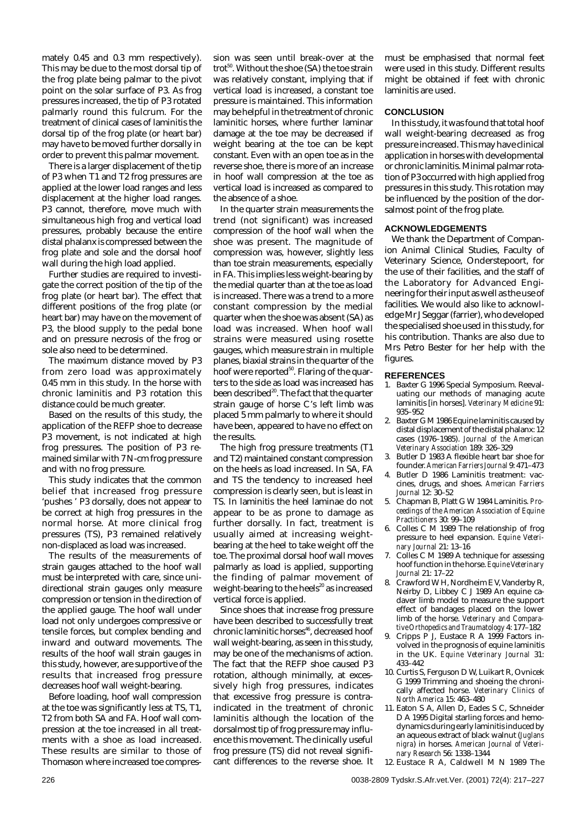mately 0.45 and 0.3 mm respectively). This may be due to the most dorsal tip of the frog plate being palmar to the pivot point on the solar surface of P3. As frog pressures increased, the tip of P3 rotated palmarly round this fulcrum. For the treatment of clinical cases of laminitis the dorsal tip of the frog plate (or heart bar) may have to be moved further dorsally in order to prevent this palmar movement.

There is a larger displacement of the tip of P3 when T1 and T2 frog pressures are applied at the lower load ranges and less displacement at the higher load ranges. P3 cannot, therefore, move much with simultaneous high frog and vertical load pressures, probably because the entire distal phalanx is compressed between the frog plate and sole and the dorsal hoof wall during the high load applied.

Further studies are required to investigate the correct position of the tip of the frog plate (or heart bar). The effect that different positions of the frog plate (or heart bar) may have on the movement of P3, the blood supply to the pedal bone and on pressure necrosis of the frog or sole also need to be determined.

The maximum distance moved by P3 from zero load was approximately 0.45 mm in this study. In the horse with chronic laminitis and P3 rotation this distance could be much greater.

Based on the results of this study, the application of the REFP shoe to decrease P3 movement, is not indicated at high frog pressures. The position of P3 remained similar with 7 N-cm frog pressure and with no frog pressure.

This study indicates that the common belief that increased frog pressure 'pushes ' P3 dorsally, does not appear to be correct at high frog pressures in the normal horse. At more clinical frog pressures (TS), P3 remained relatively non-displaced as load was increased.

The results of the measurements of strain gauges attached to the hoof wall must be interpreted with care, since unidirectional strain gauges only measure compression or tension in the direction of the applied gauge. The hoof wall under load not only undergoes compressive or tensile forces, but complex bending and inward and outward movements. The results of the hoof wall strain gauges in this study, however, are supportive of the results that increased frog pressure decreases hoof wall weight-bearing.

Before loading, hoof wall compression at the toe was significantly less at TS, T1, T2 from both SA and FA. Hoof wall compression at the toe increased in all treatments with a shoe as load increased. These results are similar to those of Thomason where increased toe compression was seen until break-over at the trot<sup>50</sup>. Without the shoe (SA) the toe strain was relatively constant, implying that if vertical load is increased, a constant toe pressure is maintained. This information may be helpful in the treatment of chronic laminitic horses, where further laminar damage at the toe may be decreased if weight bearing at the toe can be kept constant. Even with an open toe as in the reverse shoe, there is more of an increase in hoof wall compression at the toe as vertical load is increased as compared to the absence of a shoe.

In the quarter strain measurements the trend (not significant) was increased compression of the hoof wall when the shoe was present. The magnitude of compression was, however, slightly less than toe strain measurements, especially in FA. This implies less weight-bearing by the medial quarter than at the toe as load is increased. There was a trend to a more constant compression by the medial quarter when the shoe was absent (SA) as load was increased. When hoof wall strains were measured using rosette gauges, which measure strain in multiple planes, biaxial strains in the quarter of the hoof were reported $50$ . Flaring of the quarters to the side as load was increased has been described<sup>20</sup>. The fact that the quarter strain gauge of horse C's left limb was placed 5 mm palmarly to where it should have been, appeared to have no effect on the results.

The high frog pressure treatments (T1 and T2) maintained constant compression on the heels as load increased. In SA, FA and TS the tendency to increased heel compression is clearly seen, but is least in TS. In laminitis the heel laminae do not appear to be as prone to damage as further dorsally. In fact, treatment is usually aimed at increasing weightbearing at the heel to take weight off the toe. The proximal dorsal hoof wall moves palmarly as load is applied, supporting the finding of palmar movement of weight-bearing to the heels $^{20}$  as increased vertical force is applied.

Since shoes that increase frog pressure have been described to successfully treat chronic laminitic horses<sup>46</sup>, decreased hoof wall weight-bearing, as seen in this study, may be one of the mechanisms of action. The fact that the REFP shoe caused P3 rotation, although minimally, at excessively high frog pressures, indicates that excessive frog pressure is contraindicated in the treatment of chronic laminitis although the location of the dorsalmost tip of frog pressure may influence this movement. The clinically useful frog pressure (TS) did not reveal significant differences to the reverse shoe. It must be emphasised that normal feet were used in this study. Different results might be obtained if feet with chronic laminitis are used.

## **CONCLUSION**

In this study, it was found that total hoof wall weight-bearing decreased as frog pressure increased. This may have clinical application in horses with developmental or chronic laminitis. Minimal palmar rotation of P3 occurred with high applied frog pressures in this study. This rotation may be influenced by the position of the dorsalmost point of the frog plate.

## **ACKNOWLEDGEMENTS**

We thank the Department of Companion Animal Clinical Studies, Faculty of Veterinary Science, Onderstepoort, for the use of their facilities, and the staff of the Laboratory for Advanced Engineering for their input as well as the use of facilities. We would also like to acknowledge Mr J Seggar (farrier), who developed the specialised shoe used in this study, for his contribution. Thanks are also due to Mrs Petro Bester for her help with the figures.

### **REFERENCES**

- 1. Baxter G 1996 Special Symposium. Reevaluating our methods of managing acute laminitis [in horses]. *Veterinary Medicine* 91: 935–952
- 2. Baxter G M 1986 Equine laminitis caused by distal displacement of the distal phalanx: 12 cases (1976–1985). *Journal of the American Veterinary Association* 189: 326–329
- Butler D 1983 A flexible heart bar shoe for founder.*American Farriers Journal* 9: 471–473
- Butler D 1986 Laminitis treatment: vaccines, drugs, and shoes. *American Farriers Journal* 12: 30–52
- 5. Chapman B, Platt G W 1984 Laminitis. *Proceedings of the American Association of Equine Practitioners* 30: 99–109
- 6. Colles C M 1989 The relationship of frog pressure to heel expansion. *Equine Veterinary Journal* 21: 13–16
- Colles C M 1989 A technique for assessing hoof function in the horse. *Equine Veterinary Journal* 21: 17–22
- 8. Crawford W H, Nordheim E V, Vanderby R, Neirby D, Libbey C J 1989 An equine cadaver limb model to measure the support effect of bandages placed on the lower limb of the horse. *Veterinary and Comparative Orthopedics and Traumatology* 4: 177–182
- Cripps P J, Eustace R A 1999 Factors involved in the prognosis of equine laminitis in the UK. *Equine Veterinary Journal* 31: 433–442
- 10. Curtis S, Ferguson D W, Luikart R, Ovnicek G 1999 Trimming and shoeing the chronically affected horse. *Veterinary Clinics of North America* 15: 463–480
- 11. Eaton S A, Allen D, Eades S C, Schneider D A 1995 Digital starling forces and hemodynamics during early laminitis induced by an aqueous extract of black walnut (*Juglans nigra*) in horses. *American Journal of Veterinary Research* 56: 1338–1344

<sup>12.</sup> Eustace R A, Caldwell M N 1989 The